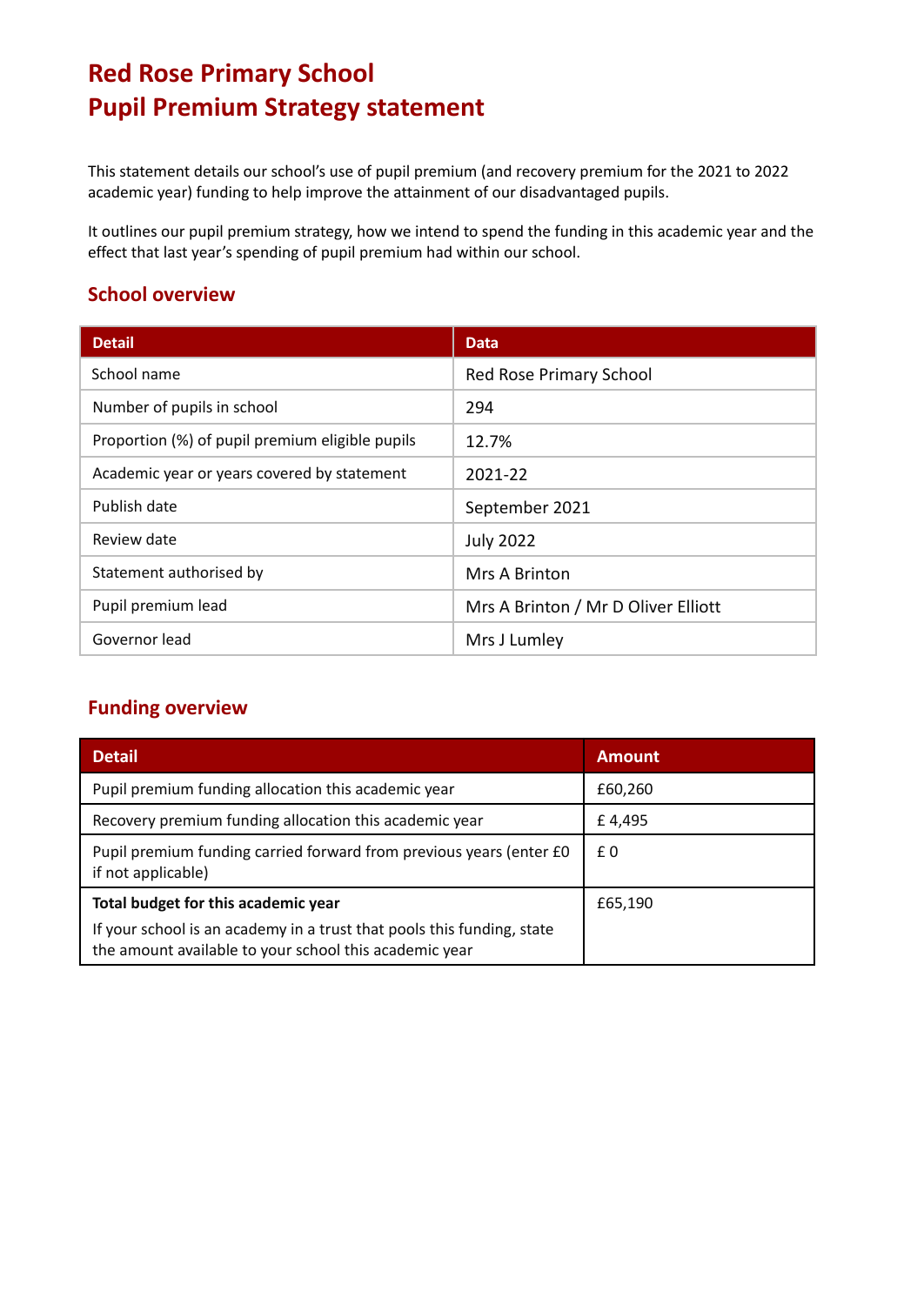# **Red Rose Primary School Pupil Premium Strategy statement**

This statement details our school's use of pupil premium (and recovery premium for the 2021 to 2022 academic year) funding to help improve the attainment of our disadvantaged pupils.

It outlines our pupil premium strategy, how we intend to spend the funding in this academic year and the effect that last year's spending of pupil premium had within our school.

### **School overview**

| <b>Detail</b>                                   | <b>Data</b>                         |
|-------------------------------------------------|-------------------------------------|
| School name                                     | Red Rose Primary School             |
| Number of pupils in school                      | 294                                 |
| Proportion (%) of pupil premium eligible pupils | 12.7%                               |
| Academic year or years covered by statement     | 2021-22                             |
| Publish date                                    | September 2021                      |
| Review date                                     | <b>July 2022</b>                    |
| Statement authorised by                         | Mrs A Brinton                       |
| Pupil premium lead                              | Mrs A Brinton / Mr D Oliver Elliott |
| Governor lead                                   | Mrs J Lumley                        |

### **Funding overview**

| <b>Detail</b>                                                                                                                    | <b>Amount</b> |
|----------------------------------------------------------------------------------------------------------------------------------|---------------|
| Pupil premium funding allocation this academic year                                                                              | £60,260       |
| Recovery premium funding allocation this academic year                                                                           | £4,495        |
| Pupil premium funding carried forward from previous years (enter £0<br>if not applicable)                                        | £0            |
| Total budget for this academic year                                                                                              | £65,190       |
| If your school is an academy in a trust that pools this funding, state<br>the amount available to your school this academic year |               |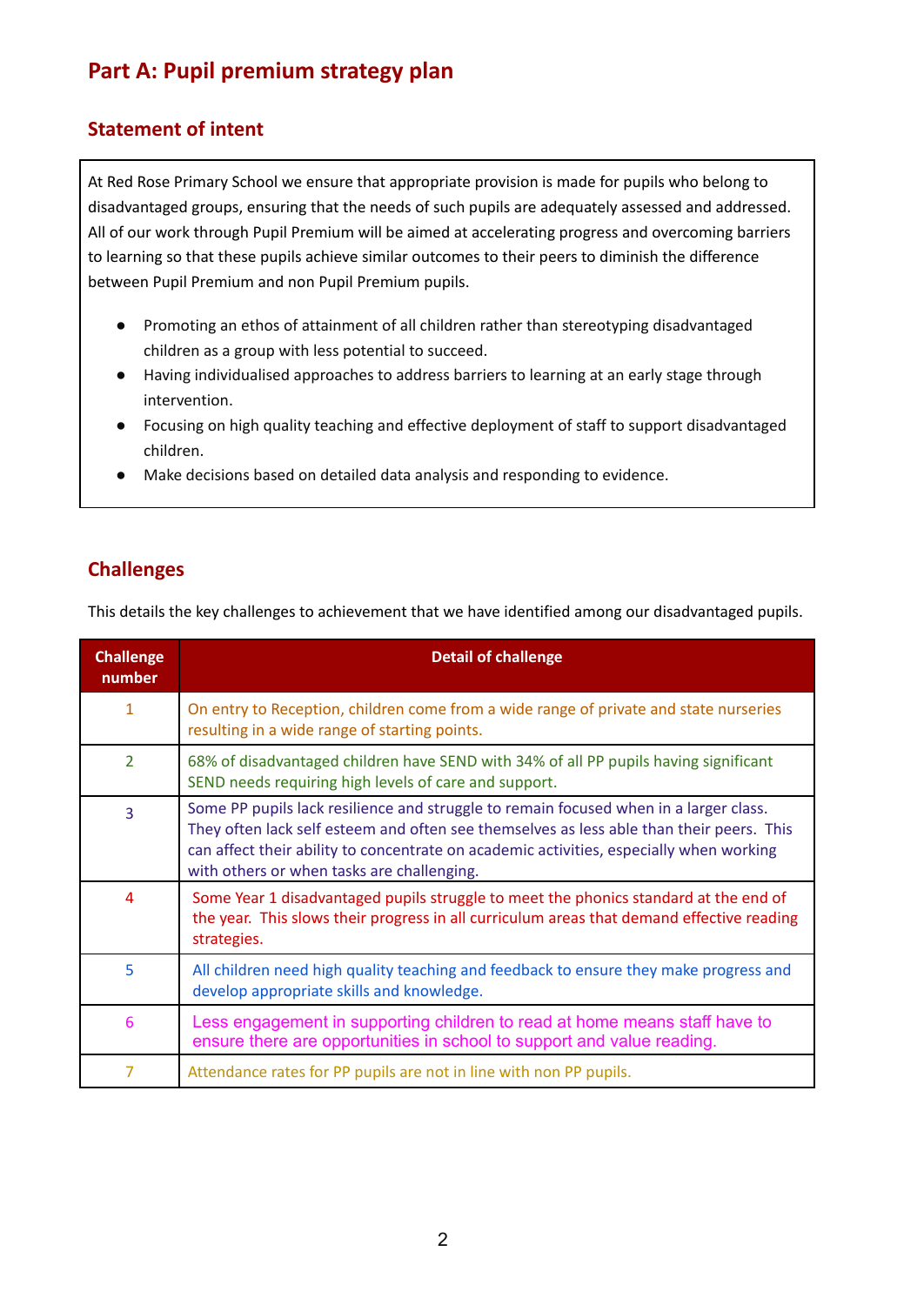## **Part A: Pupil premium strategy plan**

### **Statement of intent**

At Red Rose Primary School we ensure that appropriate provision is made for pupils who belong to disadvantaged groups, ensuring that the needs of such pupils are adequately assessed and addressed. All of our work through Pupil Premium will be aimed at accelerating progress and overcoming barriers to learning so that these pupils achieve similar outcomes to their peers to diminish the difference between Pupil Premium and non Pupil Premium pupils.

- Promoting an ethos of attainment of all children rather than stereotyping disadvantaged children as a group with less potential to succeed.
- Having individualised approaches to address barriers to learning at an early stage through intervention.
- Focusing on high quality teaching and effective deployment of staff to support disadvantaged children.
- Make decisions based on detailed data analysis and responding to evidence.

### **Challenges**

This details the key challenges to achievement that we have identified among our disadvantaged pupils.

| <b>Challenge</b><br>number | <b>Detail of challenge</b>                                                                                                                                                                                                                                                                                                 |
|----------------------------|----------------------------------------------------------------------------------------------------------------------------------------------------------------------------------------------------------------------------------------------------------------------------------------------------------------------------|
| $\mathbf{1}$               | On entry to Reception, children come from a wide range of private and state nurseries<br>resulting in a wide range of starting points.                                                                                                                                                                                     |
| $\overline{2}$             | 68% of disadvantaged children have SEND with 34% of all PP pupils having significant<br>SEND needs requiring high levels of care and support.                                                                                                                                                                              |
| $\overline{3}$             | Some PP pupils lack resilience and struggle to remain focused when in a larger class.<br>They often lack self esteem and often see themselves as less able than their peers. This<br>can affect their ability to concentrate on academic activities, especially when working<br>with others or when tasks are challenging. |
| $\overline{4}$             | Some Year 1 disadvantaged pupils struggle to meet the phonics standard at the end of<br>the year. This slows their progress in all curriculum areas that demand effective reading<br>strategies.                                                                                                                           |
| 5                          | All children need high quality teaching and feedback to ensure they make progress and<br>develop appropriate skills and knowledge.                                                                                                                                                                                         |
| 6                          | Less engagement in supporting children to read at home means staff have to<br>ensure there are opportunities in school to support and value reading.                                                                                                                                                                       |
| 7                          | Attendance rates for PP pupils are not in line with non PP pupils.                                                                                                                                                                                                                                                         |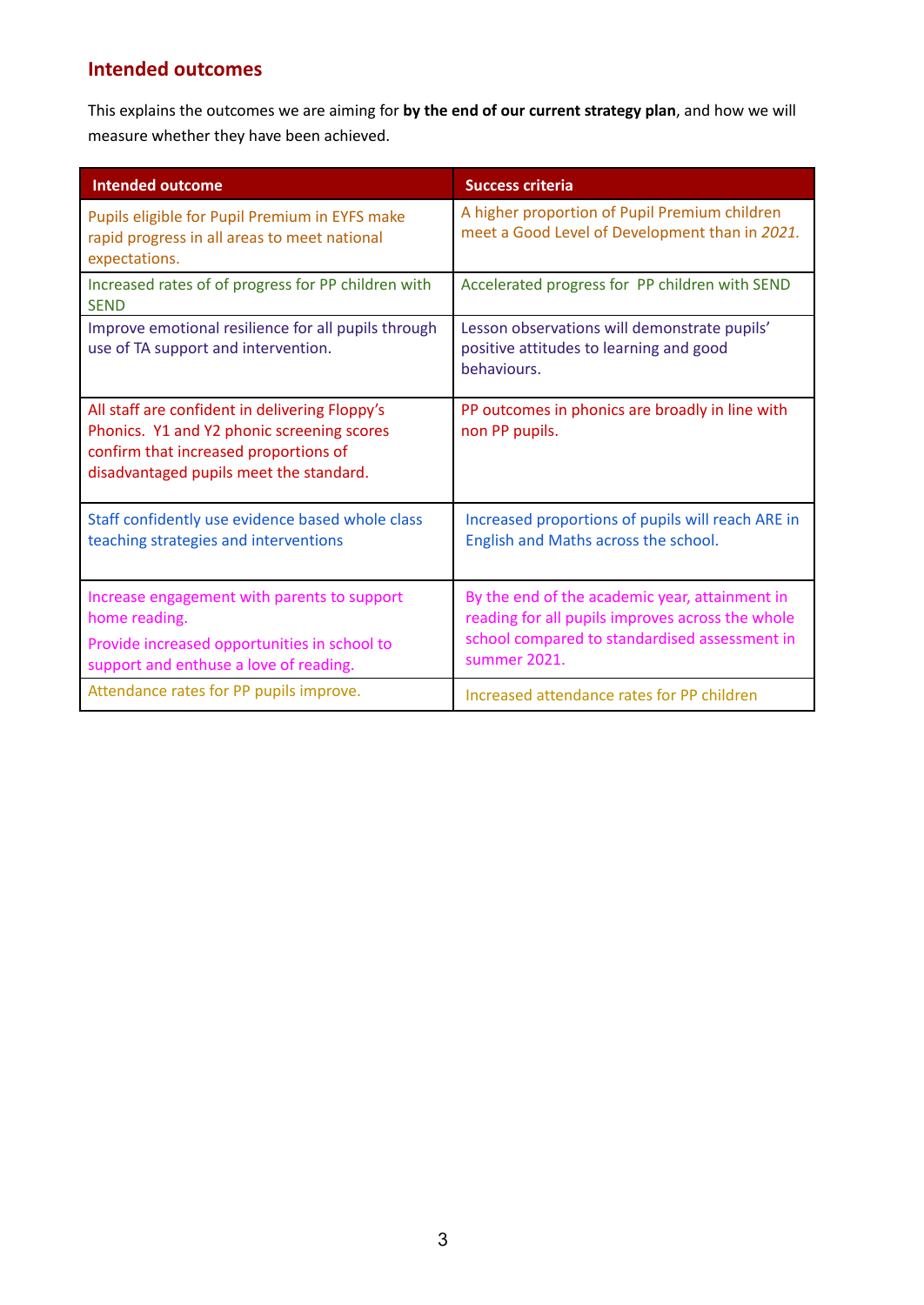### **Intended outcomes**

This explains the outcomes we are aiming for **by the end of our current strategy plan**, and how we will measure whether they have been achieved.

| <b>Intended outcome</b>                                                                                                                                                          | <b>Success criteria</b>                                                                                                                                             |
|----------------------------------------------------------------------------------------------------------------------------------------------------------------------------------|---------------------------------------------------------------------------------------------------------------------------------------------------------------------|
| Pupils eligible for Pupil Premium in EYFS make<br>rapid progress in all areas to meet national<br>expectations.                                                                  | A higher proportion of Pupil Premium children<br>meet a Good Level of Development than in 2021.                                                                     |
| Increased rates of of progress for PP children with<br><b>SEND</b>                                                                                                               | Accelerated progress for PP children with SEND                                                                                                                      |
| Improve emotional resilience for all pupils through<br>use of TA support and intervention.                                                                                       | Lesson observations will demonstrate pupils'<br>positive attitudes to learning and good<br>behaviours.                                                              |
| All staff are confident in delivering Floppy's<br>Phonics. Y1 and Y2 phonic screening scores<br>confirm that increased proportions of<br>disadvantaged pupils meet the standard. | PP outcomes in phonics are broadly in line with<br>non PP pupils.                                                                                                   |
| Staff confidently use evidence based whole class<br>teaching strategies and interventions                                                                                        | Increased proportions of pupils will reach ARE in<br>English and Maths across the school.                                                                           |
| Increase engagement with parents to support<br>home reading.<br>Provide increased opportunities in school to<br>support and enthuse a love of reading.                           | By the end of the academic year, attainment in<br>reading for all pupils improves across the whole<br>school compared to standardised assessment in<br>summer 2021. |
| Attendance rates for PP pupils improve.                                                                                                                                          | Increased attendance rates for PP children                                                                                                                          |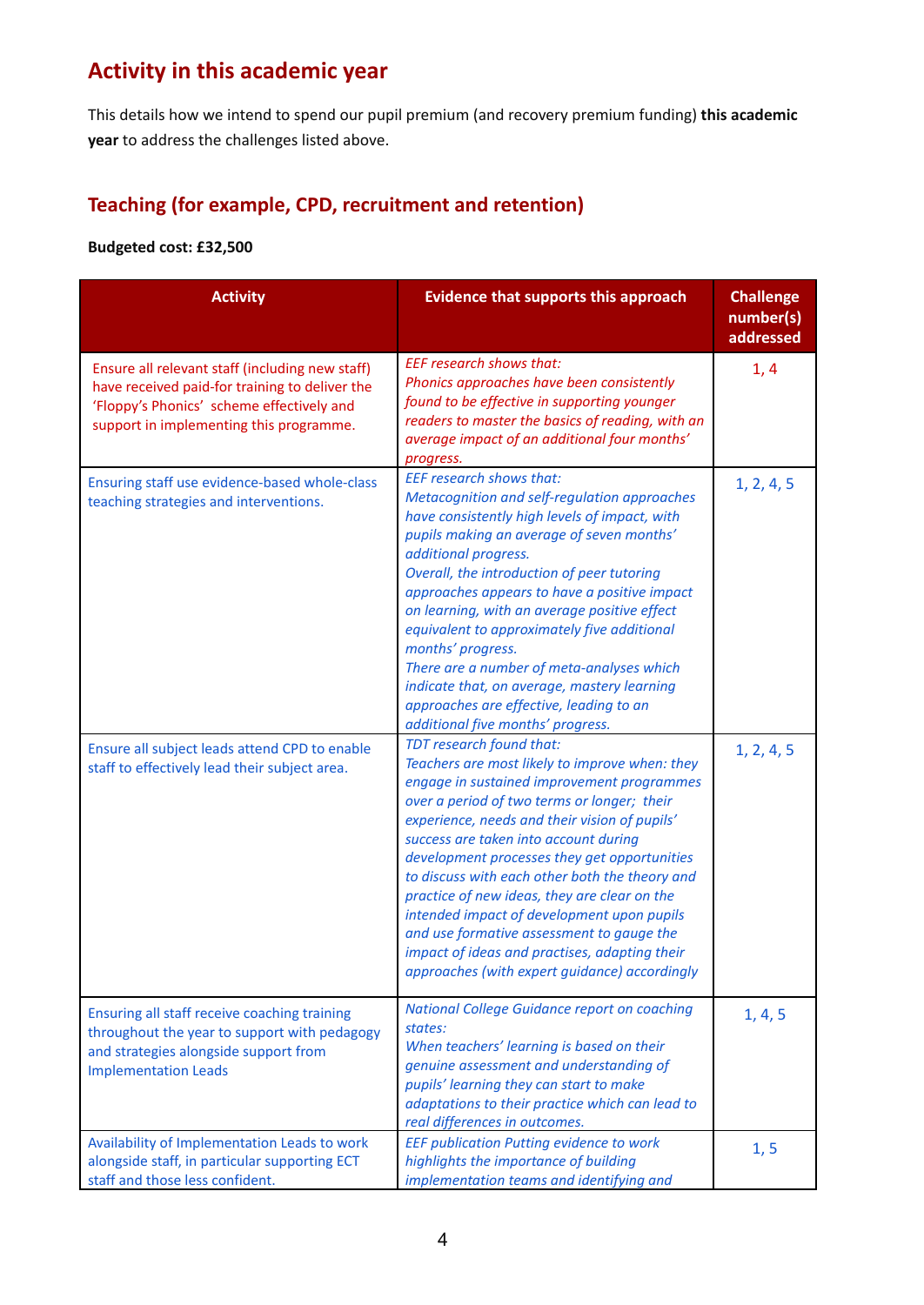## **Activity in this academic year**

This details how we intend to spend our pupil premium (and recovery premium funding) **this academic year** to address the challenges listed above.

## **Teaching (for example, CPD, recruitment and retention)**

#### **Budgeted cost: £32,500**

| <b>Activity</b>                                                                                                                                                                           | <b>Evidence that supports this approach</b>                                                                                                                                                                                                                                                                                                                                                                                                                                                                                                                                                                      | <b>Challenge</b><br>number(s)<br>addressed |
|-------------------------------------------------------------------------------------------------------------------------------------------------------------------------------------------|------------------------------------------------------------------------------------------------------------------------------------------------------------------------------------------------------------------------------------------------------------------------------------------------------------------------------------------------------------------------------------------------------------------------------------------------------------------------------------------------------------------------------------------------------------------------------------------------------------------|--------------------------------------------|
| Ensure all relevant staff (including new staff)<br>have received paid-for training to deliver the<br>'Floppy's Phonics' scheme effectively and<br>support in implementing this programme. | <b>EEF research shows that:</b><br>Phonics approaches have been consistently<br>found to be effective in supporting younger<br>readers to master the basics of reading, with an<br>average impact of an additional four months'<br>progress.                                                                                                                                                                                                                                                                                                                                                                     | 1, 4                                       |
| Ensuring staff use evidence-based whole-class<br>teaching strategies and interventions.                                                                                                   | <b>EEF research shows that:</b><br>Metacognition and self-regulation approaches<br>have consistently high levels of impact, with<br>pupils making an average of seven months'<br>additional progress.<br>Overall, the introduction of peer tutoring<br>approaches appears to have a positive impact<br>on learning, with an average positive effect<br>equivalent to approximately five additional<br>months' progress.<br>There are a number of meta-analyses which<br>indicate that, on average, mastery learning<br>approaches are effective, leading to an<br>additional five months' progress.              | 1, 2, 4, 5                                 |
| Ensure all subject leads attend CPD to enable<br>staff to effectively lead their subject area.                                                                                            | TDT research found that:<br>Teachers are most likely to improve when: they<br>engage in sustained improvement programmes<br>over a period of two terms or longer; their<br>experience, needs and their vision of pupils'<br>success are taken into account during<br>development processes they get opportunities<br>to discuss with each other both the theory and<br>practice of new ideas, they are clear on the<br>intended impact of development upon pupils<br>and use formative assessment to gauge the<br>impact of ideas and practises, adapting their<br>approaches (with expert guidance) accordingly | 1, 2, 4, 5                                 |
| Ensuring all staff receive coaching training<br>throughout the year to support with pedagogy<br>and strategies alongside support from<br><b>Implementation Leads</b>                      | <b>National College Guidance report on coaching</b><br>states:<br>When teachers' learning is based on their<br>genuine assessment and understanding of<br>pupils' learning they can start to make<br>adaptations to their practice which can lead to<br>real differences in outcomes.                                                                                                                                                                                                                                                                                                                            | 1, 4, 5                                    |
| Availability of Implementation Leads to work<br>alongside staff, in particular supporting ECT<br>staff and those less confident.                                                          | EEF publication Putting evidence to work<br>highlights the importance of building<br>implementation teams and identifying and                                                                                                                                                                                                                                                                                                                                                                                                                                                                                    | 1, 5                                       |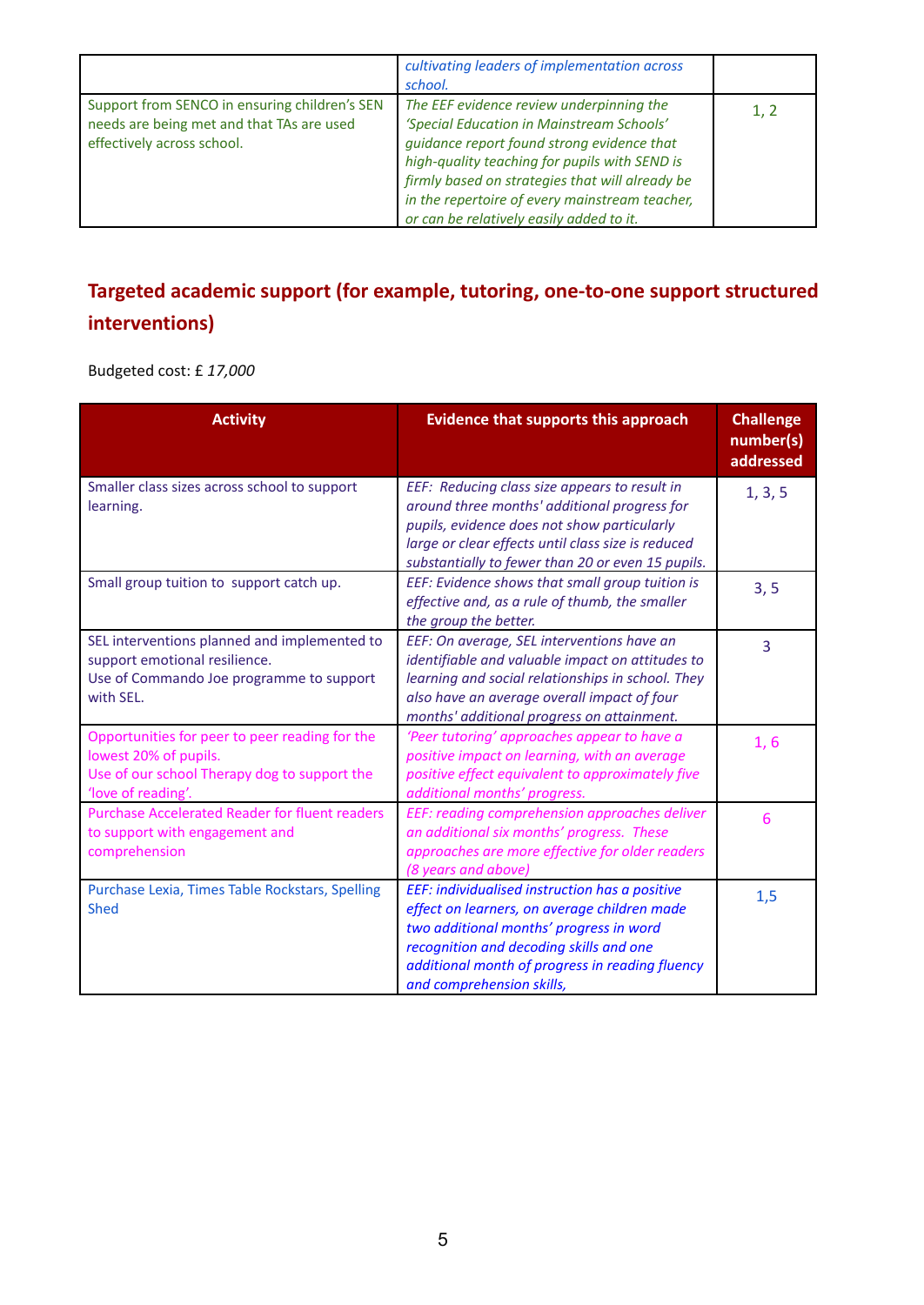|                                                                                                                          | cultivating leaders of implementation across<br>school.                                                                                                                                                                                                                                                                               |      |
|--------------------------------------------------------------------------------------------------------------------------|---------------------------------------------------------------------------------------------------------------------------------------------------------------------------------------------------------------------------------------------------------------------------------------------------------------------------------------|------|
| Support from SENCO in ensuring children's SEN<br>needs are being met and that TAs are used<br>effectively across school. | The EEF evidence review underpinning the<br>'Special Education in Mainstream Schools'<br>guidance report found strong evidence that<br>high-quality teaching for pupils with SEND is<br>firmly based on strategies that will already be<br>in the repertoire of every mainstream teacher,<br>or can be relatively easily added to it. | 1, 2 |

## **Targeted academic support (for example, tutoring, one-to-one support structured interventions)**

Budgeted cost: £ *17,000*

| <b>Activity</b>                                                                                                                               | <b>Evidence that supports this approach</b>                                                                                                                                                                                                                          | <b>Challenge</b><br>number(s)<br>addressed |
|-----------------------------------------------------------------------------------------------------------------------------------------------|----------------------------------------------------------------------------------------------------------------------------------------------------------------------------------------------------------------------------------------------------------------------|--------------------------------------------|
| Smaller class sizes across school to support<br>learning.                                                                                     | EEF: Reducing class size appears to result in<br>around three months' additional progress for<br>pupils, evidence does not show particularly<br>large or clear effects until class size is reduced<br>substantially to fewer than 20 or even 15 pupils.              | 1, 3, 5                                    |
| Small group tuition to support catch up.                                                                                                      | EEF: Evidence shows that small group tuition is<br>effective and, as a rule of thumb, the smaller<br>the group the better.                                                                                                                                           | 3, 5                                       |
| SEL interventions planned and implemented to<br>support emotional resilience.<br>Use of Commando Joe programme to support<br>with SEL.        | EEF: On average, SEL interventions have an<br>identifiable and valuable impact on attitudes to<br>learning and social relationships in school. They<br>also have an average overall impact of four<br>months' additional progress on attainment.                     | 3                                          |
| Opportunities for peer to peer reading for the<br>lowest 20% of pupils.<br>Use of our school Therapy dog to support the<br>'love of reading'. | 'Peer tutoring' approaches appear to have a<br>positive impact on learning, with an average<br>positive effect equivalent to approximately five<br>additional months' progress.                                                                                      | 1, 6                                       |
| <b>Purchase Accelerated Reader for fluent readers</b><br>to support with engagement and<br>comprehension                                      | EEF: reading comprehension approaches deliver<br>an additional six months' progress. These<br>approaches are more effective for older readers<br>(8 years and above)                                                                                                 | 6                                          |
| Purchase Lexia, Times Table Rockstars, Spelling<br><b>Shed</b>                                                                                | EEF: individualised instruction has a positive<br>effect on learners, on average children made<br>two additional months' progress in word<br>recognition and decoding skills and one<br>additional month of progress in reading fluency<br>and comprehension skills, | 1,5                                        |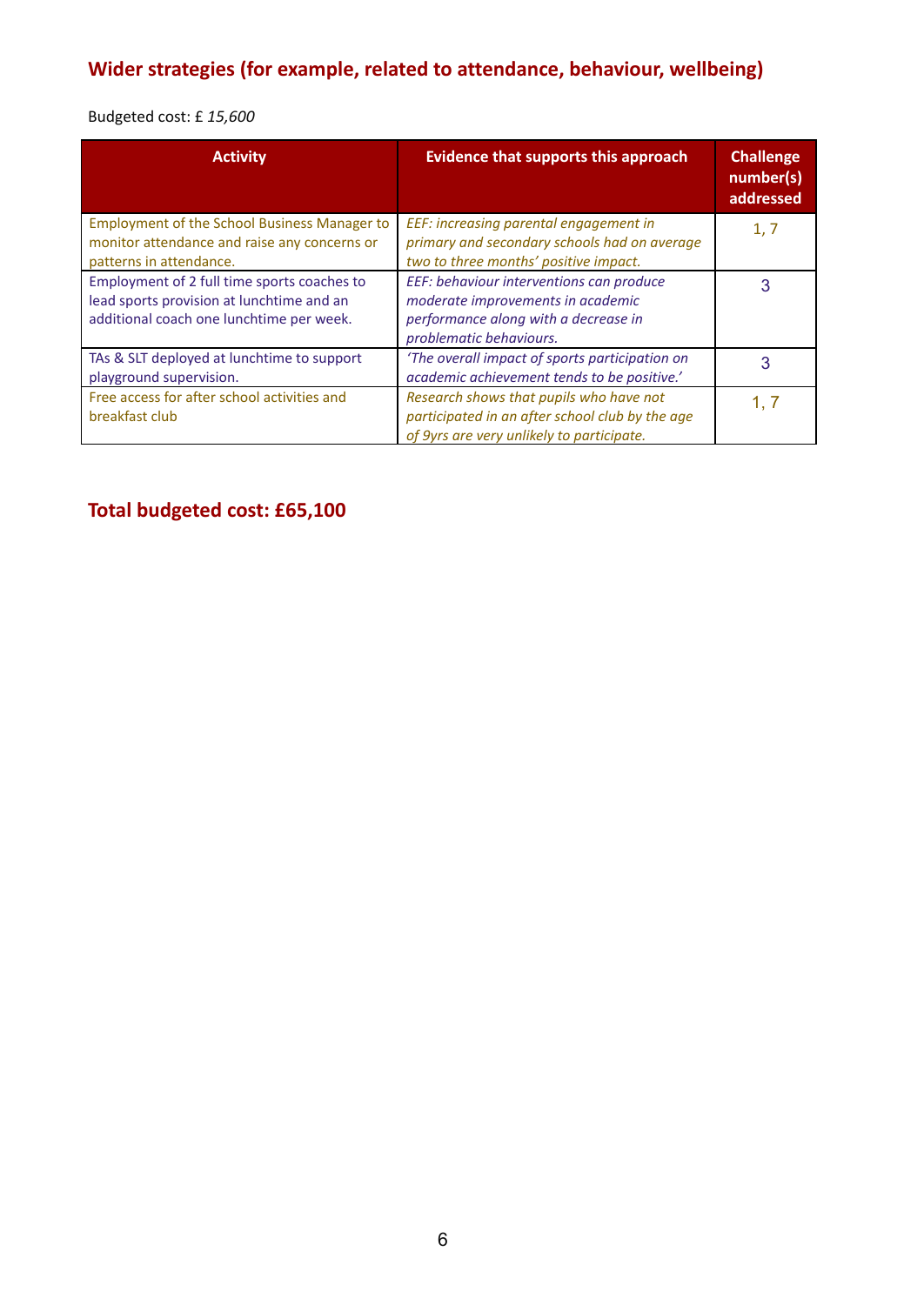## **Wider strategies (for example, related to attendance, behaviour, wellbeing)**

Budgeted cost: £ *15,600*

| <b>Activity</b>                                                                                                                      | <b>Evidence that supports this approach</b>                                                                                                      | <b>Challenge</b><br>number(s)<br>addressed |
|--------------------------------------------------------------------------------------------------------------------------------------|--------------------------------------------------------------------------------------------------------------------------------------------------|--------------------------------------------|
| <b>Employment of the School Business Manager to</b><br>monitor attendance and raise any concerns or<br>patterns in attendance.       | EEF: increasing parental engagement in<br>primary and secondary schools had on average<br>two to three months' positive impact.                  | 1, 7                                       |
| Employment of 2 full time sports coaches to<br>lead sports provision at lunchtime and an<br>additional coach one lunchtime per week. | EEF: behaviour interventions can produce<br>moderate improvements in academic<br>performance along with a decrease in<br>problematic behaviours. | 3                                          |
| TAs & SLT deployed at lunchtime to support<br>playground supervision.                                                                | 'The overall impact of sports participation on<br>academic achievement tends to be positive.'                                                    | 3                                          |
| Free access for after school activities and<br>breakfast club                                                                        | Research shows that pupils who have not<br>participated in an after school club by the age<br>of 9yrs are very unlikely to participate.          | 1. 7                                       |

## **Total budgeted cost: £65,100**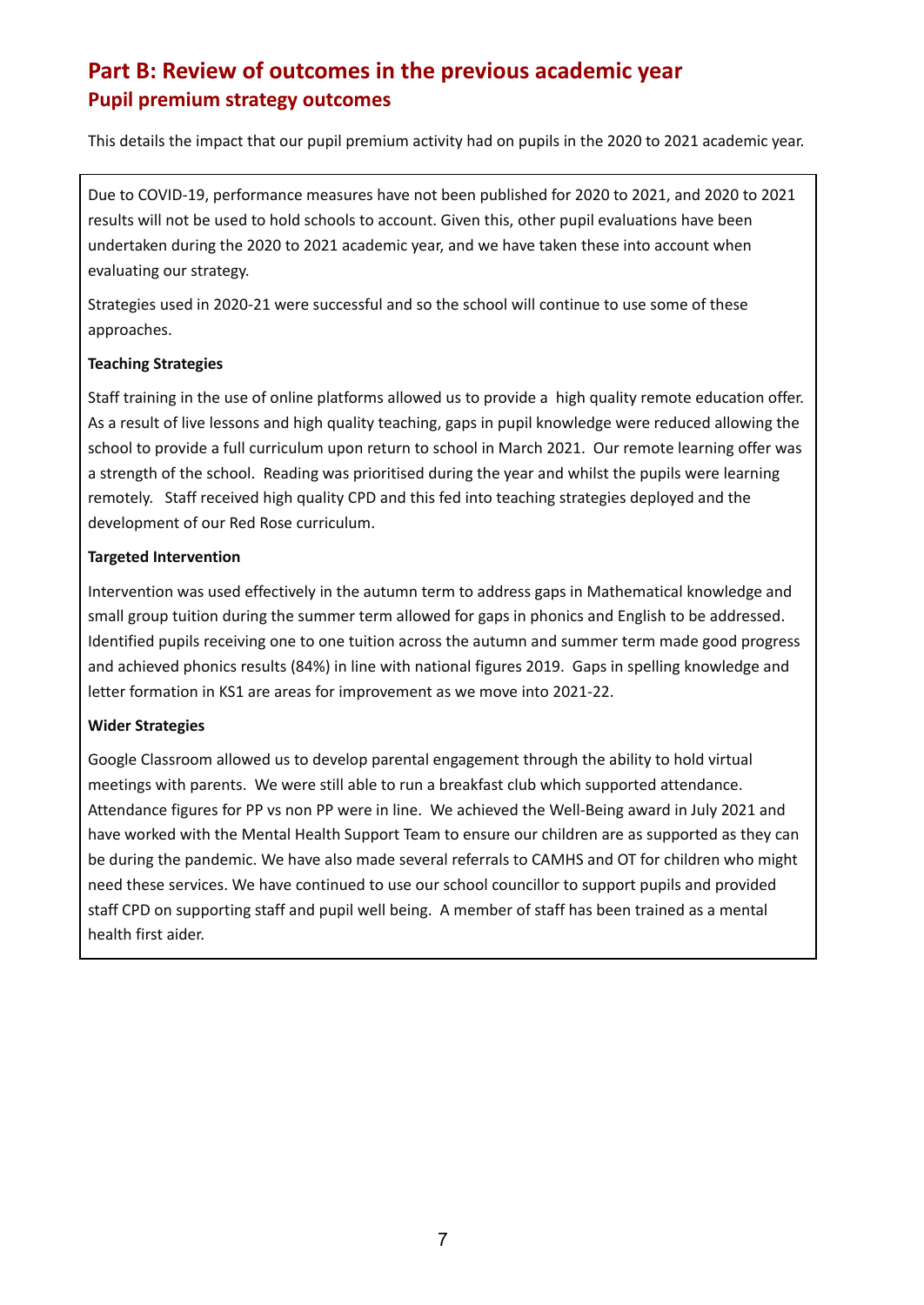### **Part B: Review of outcomes in the previous academic year Pupil premium strategy outcomes**

This details the impact that our pupil premium activity had on pupils in the 2020 to 2021 academic year.

Due to COVID-19, performance measures have not been published for 2020 to 2021, and 2020 to 2021 results will not be used to hold schools to account. Given this, other pupil evaluations have been undertaken during the 2020 to 2021 academic year, and we have taken these into account when evaluating our strategy.

Strategies used in 2020-21 were successful and so the school will continue to use some of these approaches.

#### **Teaching Strategies**

Staff training in the use of online platforms allowed us to provide a high quality remote education offer. As a result of live lessons and high quality teaching, gaps in pupil knowledge were reduced allowing the school to provide a full curriculum upon return to school in March 2021. Our remote learning offer was a strength of the school. Reading was prioritised during the year and whilst the pupils were learning remotely. Staff received high quality CPD and this fed into teaching strategies deployed and the development of our Red Rose curriculum.

#### **Targeted Intervention**

Intervention was used effectively in the autumn term to address gaps in Mathematical knowledge and small group tuition during the summer term allowed for gaps in phonics and English to be addressed. Identified pupils receiving one to one tuition across the autumn and summer term made good progress and achieved phonics results (84%) in line with national figures 2019. Gaps in spelling knowledge and letter formation in KS1 are areas for improvement as we move into 2021-22.

#### **Wider Strategies**

Google Classroom allowed us to develop parental engagement through the ability to hold virtual meetings with parents. We were still able to run a breakfast club which supported attendance. Attendance figures for PP vs non PP were in line. We achieved the Well-Being award in July 2021 and have worked with the Mental Health Support Team to ensure our children are as supported as they can be during the pandemic. We have also made several referrals to CAMHS and OT for children who might need these services. We have continued to use our school councillor to support pupils and provided staff CPD on supporting staff and pupil well being. A member of staff has been trained as a mental health first aider.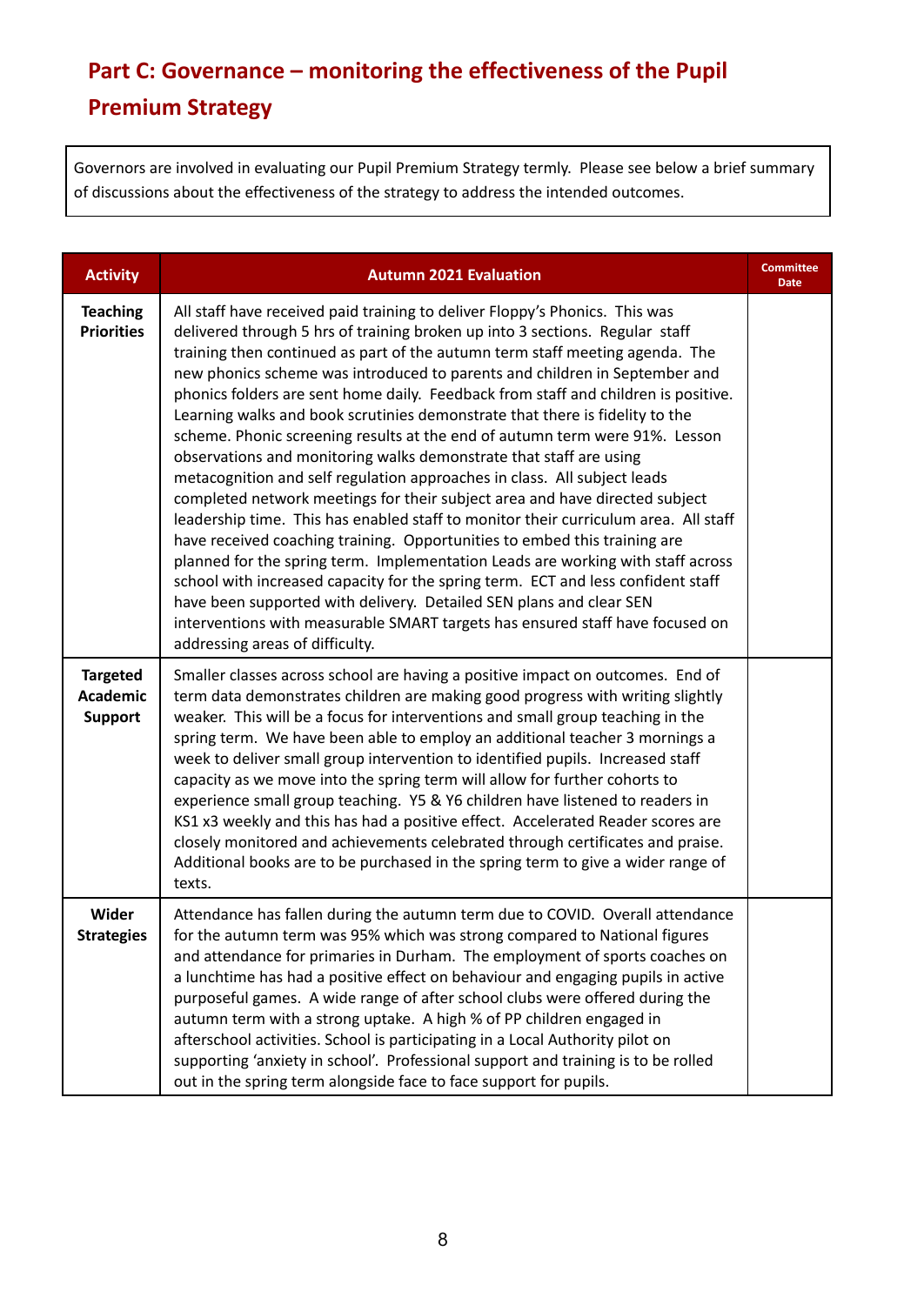# **Part C: Governance – monitoring the effectiveness of the Pupil Premium Strategy**

Governors are involved in evaluating our Pupil Premium Strategy termly. Please see below a brief summary of discussions about the effectiveness of the strategy to address the intended outcomes.

| <b>Activity</b>                                      | <b>Autumn 2021 Evaluation</b>                                                                                                                                                                                                                                                                                                                                                                                                                                                                                                                                                                                                                                                                                                                                                                                                                                                                                                                                                                                                                                                                                                                                                                                                                                                                                                                         | <b>Committee</b><br><b>Date</b> |
|------------------------------------------------------|-------------------------------------------------------------------------------------------------------------------------------------------------------------------------------------------------------------------------------------------------------------------------------------------------------------------------------------------------------------------------------------------------------------------------------------------------------------------------------------------------------------------------------------------------------------------------------------------------------------------------------------------------------------------------------------------------------------------------------------------------------------------------------------------------------------------------------------------------------------------------------------------------------------------------------------------------------------------------------------------------------------------------------------------------------------------------------------------------------------------------------------------------------------------------------------------------------------------------------------------------------------------------------------------------------------------------------------------------------|---------------------------------|
| <b>Teaching</b><br><b>Priorities</b>                 | All staff have received paid training to deliver Floppy's Phonics. This was<br>delivered through 5 hrs of training broken up into 3 sections. Regular staff<br>training then continued as part of the autumn term staff meeting agenda. The<br>new phonics scheme was introduced to parents and children in September and<br>phonics folders are sent home daily. Feedback from staff and children is positive.<br>Learning walks and book scrutinies demonstrate that there is fidelity to the<br>scheme. Phonic screening results at the end of autumn term were 91%. Lesson<br>observations and monitoring walks demonstrate that staff are using<br>metacognition and self regulation approaches in class. All subject leads<br>completed network meetings for their subject area and have directed subject<br>leadership time. This has enabled staff to monitor their curriculum area. All staff<br>have received coaching training. Opportunities to embed this training are<br>planned for the spring term. Implementation Leads are working with staff across<br>school with increased capacity for the spring term. ECT and less confident staff<br>have been supported with delivery. Detailed SEN plans and clear SEN<br>interventions with measurable SMART targets has ensured staff have focused on<br>addressing areas of difficulty. |                                 |
| <b>Targeted</b><br><b>Academic</b><br><b>Support</b> | Smaller classes across school are having a positive impact on outcomes. End of<br>term data demonstrates children are making good progress with writing slightly<br>weaker. This will be a focus for interventions and small group teaching in the<br>spring term. We have been able to employ an additional teacher 3 mornings a<br>week to deliver small group intervention to identified pupils. Increased staff<br>capacity as we move into the spring term will allow for further cohorts to<br>experience small group teaching. Y5 & Y6 children have listened to readers in<br>KS1 x3 weekly and this has had a positive effect. Accelerated Reader scores are<br>closely monitored and achievements celebrated through certificates and praise.<br>Additional books are to be purchased in the spring term to give a wider range of<br>texts.                                                                                                                                                                                                                                                                                                                                                                                                                                                                                                 |                                 |
| Wider<br><b>Strategies</b>                           | Attendance has fallen during the autumn term due to COVID. Overall attendance<br>for the autumn term was 95% which was strong compared to National figures<br>and attendance for primaries in Durham. The employment of sports coaches on<br>a lunchtime has had a positive effect on behaviour and engaging pupils in active<br>purposeful games. A wide range of after school clubs were offered during the<br>autumn term with a strong uptake. A high % of PP children engaged in<br>afterschool activities. School is participating in a Local Authority pilot on<br>supporting 'anxiety in school'. Professional support and training is to be rolled<br>out in the spring term alongside face to face support for pupils.                                                                                                                                                                                                                                                                                                                                                                                                                                                                                                                                                                                                                      |                                 |